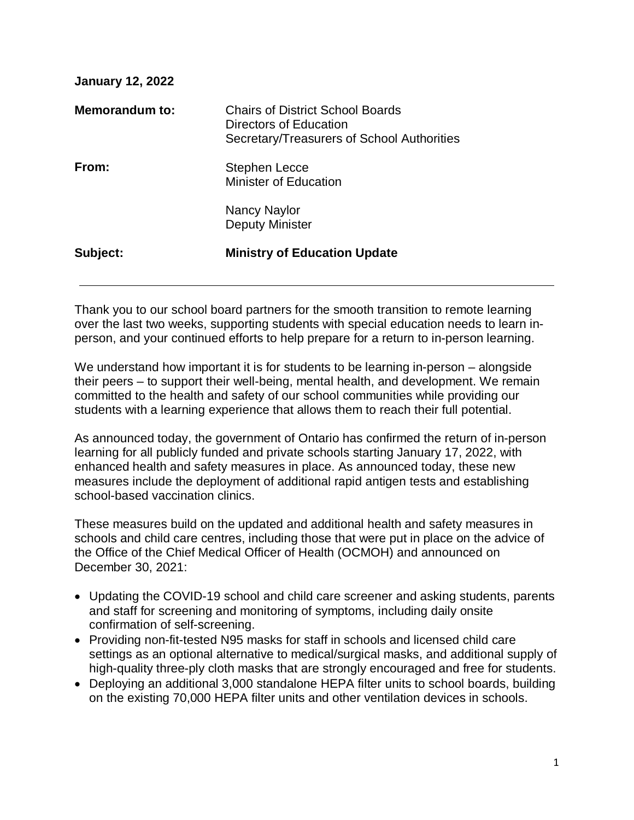| <b>January 12, 2022</b> |                                                                                                          |
|-------------------------|----------------------------------------------------------------------------------------------------------|
| Memorandum to:          | Chairs of District School Boards<br>Directors of Education<br>Secretary/Treasurers of School Authorities |
| From:                   | <b>Stephen Lecce</b><br><b>Minister of Education</b>                                                     |
|                         | Nancy Naylor<br><b>Deputy Minister</b>                                                                   |
| Subject:                | <b>Ministry of Education Update</b>                                                                      |

Thank you to our school board partners for the smooth transition to remote learning over the last two weeks, supporting students with special education needs to learn inperson, and your continued efforts to help prepare for a return to in-person learning.

We understand how important it is for students to be learning in-person – alongside their peers – to support their well-being, mental health, and development. We remain committed to the health and safety of our school communities while providing our students with a learning experience that allows them to reach their full potential.

As announced today, the government of Ontario has confirmed the return of in-person learning for all publicly funded and private schools starting January 17, 2022, with enhanced health and safety measures in place. As announced today, these new measures include the deployment of additional rapid antigen tests and establishing school-based vaccination clinics.

These measures build on the updated and additional health and safety measures in schools and child care centres, including those that were put in place on the advice of the Office of the Chief Medical Officer of Health (OCMOH) and announced on December 30, 2021:

- Updating the COVID-19 school and child care screener and asking students, parents and staff for screening and monitoring of symptoms, including daily onsite confirmation of self-screening.
- Providing non-fit-tested N95 masks for staff in schools and licensed child care settings as an optional alternative to medical/surgical masks, and additional supply of high-quality three-ply cloth masks that are strongly encouraged and free for students.
- Deploying an additional 3,000 standalone HEPA filter units to school boards, building on the existing 70,000 HEPA filter units and other ventilation devices in schools.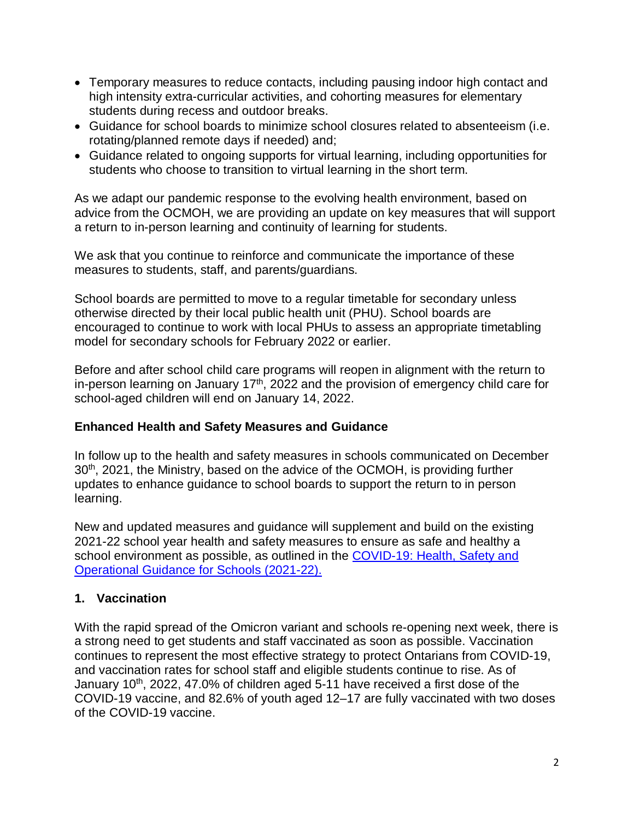- Temporary measures to reduce contacts, including pausing indoor high contact and high intensity extra-curricular activities, and cohorting measures for elementary students during recess and outdoor breaks.
- Guidance for school boards to minimize school closures related to absenteeism (i.e. rotating/planned remote days if needed) and;
- Guidance related to ongoing supports for virtual learning, including opportunities for students who choose to transition to virtual learning in the short term.

As we adapt our pandemic response to the evolving health environment, based on advice from the OCMOH, we are providing an update on key measures that will support a return to in-person learning and continuity of learning for students.

We ask that you continue to reinforce and communicate the importance of these measures to students, staff, and parents/guardians.

School boards are permitted to move to a regular timetable for secondary unless otherwise directed by their local public health unit (PHU). School boards are encouraged to continue to work with local PHUs to assess an appropriate timetabling model for secondary schools for February 2022 or earlier.

Before and after school child care programs will reopen in alignment with the return to in-person learning on January  $17<sup>th</sup>$ , 2022 and the provision of emergency child care for school-aged children will end on January 14, 2022.

## **Enhanced Health and Safety Measures and Guidance**

In follow up to the health and safety measures in schools communicated on December 30<sup>th</sup>, 2021, the Ministry, based on the advice of the OCMOH, is providing further updates to enhance guidance to school boards to support the return to in person learning.

New and updated measures and guidance will supplement and build on the existing 2021-22 school year health and safety measures to ensure as safe and healthy a school environment as possible, as outlined in the COVID-19: Health, Safety and [Operational Guidance for Schools \(2021-22\).](https://www.ontario.ca/document/covid-19-health-safety-and-operational-guidance-schools-2021-2022)

# **1. Vaccination**

With the rapid spread of the Omicron variant and schools re-opening next week, there is a strong need to get students and staff vaccinated as soon as possible. Vaccination continues to represent the most effective strategy to protect Ontarians from COVID-19, and vaccination rates for school staff and eligible students continue to rise. As of January 10<sup>th</sup>, 2022, 47.0% of children aged 5-11 have received a first dose of the COVID-19 vaccine, and 82.6% of youth aged 12–17 are fully vaccinated with two doses of the COVID-19 vaccine.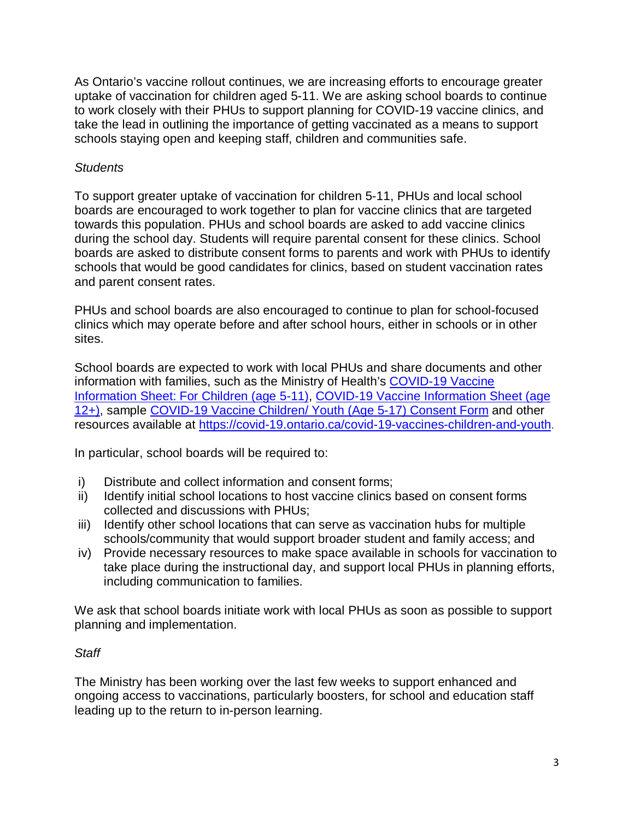As Ontario's vaccine rollout continues, we are increasing efforts to encourage greater uptake of vaccination for children aged 5-11. We are asking school boards to continue to work closely with their PHUs to support planning for COVID-19 vaccine clinics, and take the lead in outlining the importance of getting vaccinated as a means to support schools staying open and keeping staff, children and communities safe.

#### *Students*

To support greater uptake of vaccination for children 5-11, PHUs and local school boards are encouraged to work together to plan for vaccine clinics that are targeted towards this population. PHUs and school boards are asked to add vaccine clinics during the school day. Students will require parental consent for these clinics. School boards are asked to distribute consent forms to parents and work with PHUs to identify schools that would be good candidates for clinics, based on student vaccination rates and parent consent rates.

PHUs and school boards are also encouraged to continue to plan for school-focused clinics which may operate before and after school hours, either in schools or in other sites.

School boards are expected to work with local PHUs and share documents and other information with families, such as the Ministry of Health's [COVID-19 Vaccine](https://www.health.gov.on.ca/en/pro/programs/publichealth/coronavirus/docs/vaccine/COVID-19_vaccine_info_sheet_kids_5_11.pdf)  [Information Sheet: For Children \(age 5-11\), COVID-19 Vaccine Information Sheet \(age](https://www.health.gov.on.ca/en/pro/programs/publichealth/coronavirus/docs/vaccine/COVID-19_vaccine_info_sheet_kids_5_11.pdf)  [12+\),](https://www.health.gov.on.ca/en/pro/programs/publichealth/coronavirus/docs/vaccine/COVID-19_vaccine_info_sheet_kids_5_11.pdf) sample [COVID-19 Vaccine Children/ Youth \(Age 5-17\) Consent Form](https://www.health.gov.on.ca/en/pro/programs/publichealth/coronavirus/docs/vaccine/COVID-19_vaccine_consent_form_youth.pdf) and other resources available at [https://covid-19.ontario.ca/covid-19-vaccines-children-and-youth.](https://covid-19.ontario.ca/covid-19-vaccines-children-and-youth)

In particular, school boards will be required to:

- i) Distribute and collect information and consent forms;
- ii) Identify initial school locations to host vaccine clinics based on consent forms collected and discussions with PHUs;
- iii) Identify other school locations that can serve as vaccination hubs for multiple schools/community that would support broader student and family access; and
- iv) Provide necessary resources to make space available in schools for vaccination to take place during the instructional day, and support local PHUs in planning efforts, including communication to families.

We ask that school boards initiate work with local PHUs as soon as possible to support planning and implementation.

## *Staff*

The Ministry has been working over the last few weeks to support enhanced and ongoing access to vaccinations, particularly boosters, for school and education staff leading up to the return to in-person learning.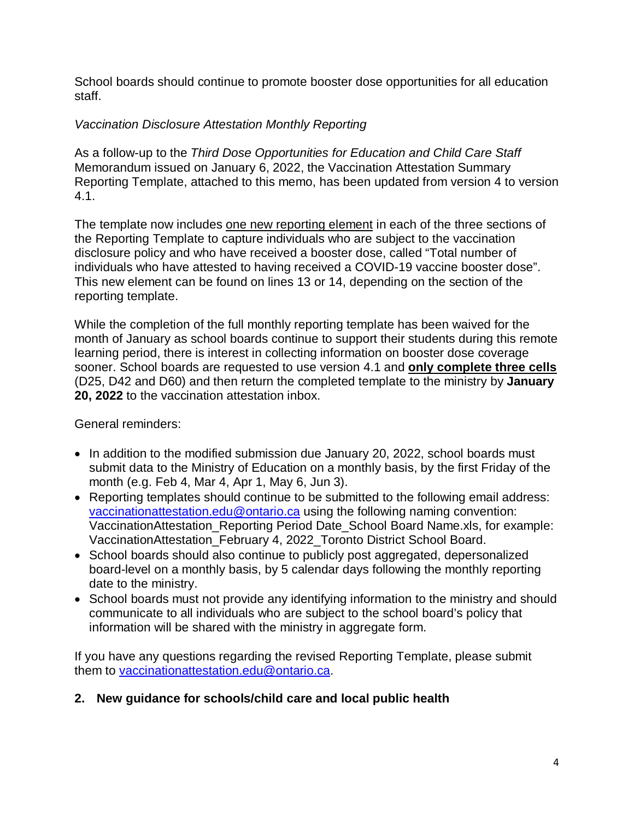School boards should continue to promote booster dose opportunities for all education staff.

# *Vaccination Disclosure Attestation Monthly Reporting*

As a follow-up to the *Third Dose Opportunities for Education and Child Care Staff* Memorandum issued on January 6, 2022, the Vaccination Attestation Summary Reporting Template, attached to this memo, has been updated from version 4 to version 4.1.

The template now includes one new reporting element in each of the three sections of the Reporting Template to capture individuals who are subject to the vaccination disclosure policy and who have received a booster dose, called "Total number of individuals who have attested to having received a COVID-19 vaccine booster dose". This new element can be found on lines 13 or 14, depending on the section of the reporting template.

While the completion of the full monthly reporting template has been waived for the month of January as school boards continue to support their students during this remote learning period, there is interest in collecting information on booster dose coverage sooner. School boards are requested to use version 4.1 and **only complete three cells** (D25, D42 and D60) and then return the completed template to the ministry by **January 20, 2022** to the vaccination attestation inbox.

General reminders:

- In addition to the modified submission due January 20, 2022, school boards must submit data to the Ministry of Education on a monthly basis, by the first Friday of the month (e.g. Feb 4, Mar 4, Apr 1, May 6, Jun 3).
- Reporting templates should continue to be submitted to the following email address: [vaccinationattestation.edu@ontario.ca](mailto:vaccinationattestation.edu@ontario.ca) using the following naming convention: VaccinationAttestation Reporting Period Date School Board Name.xls, for example: VaccinationAttestation\_February 4, 2022\_Toronto District School Board.
- School boards should also continue to publicly post aggregated, depersonalized board-level on a monthly basis, by 5 calendar days following the monthly reporting date to the ministry.
- School boards must not provide any identifying information to the ministry and should communicate to all individuals who are subject to the school board's policy that information will be shared with the ministry in aggregate form.

If you have any questions regarding the revised Reporting Template, please submit them to [vaccinationattestation.edu@ontario.ca.](mailto:vaccinationattestation.edu@ontario.ca)

## **2. New guidance for schools/child care and local public health**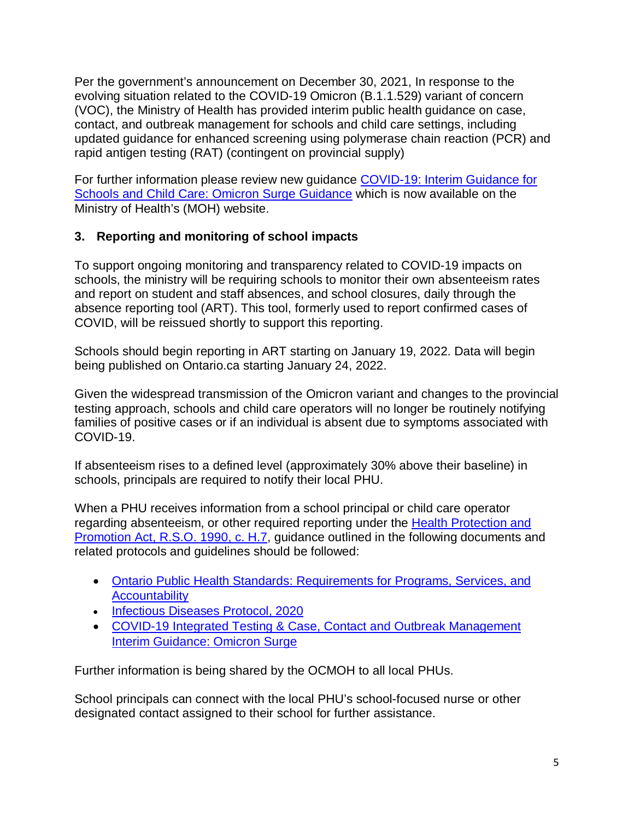Per the government's announcement on December 30, 2021, In response to the evolving situation related to the COVID-19 Omicron (B.1.1.529) variant of concern (VOC), the Ministry of Health has provided interim public health guidance on case, contact, and outbreak management for schools and child care settings, including updated guidance for enhanced screening using polymerase chain reaction (PCR) and rapid antigen testing (RAT) (contingent on provincial supply)

For further information please review new guidance [COVID-19: Interim Guidance for](https://www.health.gov.on.ca/en/pro/programs/publichealth/coronavirus/docs/school_childcare_guidance_omicron.pdf)  [Schools and Child Care: Omicron Surge Guidance](https://www.health.gov.on.ca/en/pro/programs/publichealth/coronavirus/docs/school_childcare_guidance_omicron.pdf) which is now available on the Ministry of Health's (MOH) website.

# **3. Reporting and monitoring of school impacts**

To support ongoing monitoring and transparency related to COVID-19 impacts on schools, the ministry will be requiring schools to monitor their own absenteeism rates and report on student and staff absences, and school closures, daily through the absence reporting tool (ART). This tool, formerly used to report confirmed cases of COVID, will be reissued shortly to support this reporting.

Schools should begin reporting in ART starting on January 19, 2022. Data will begin being published on Ontario.ca starting January 24, 2022.

Given the widespread transmission of the Omicron variant and changes to the provincial testing approach, schools and child care operators will no longer be routinely notifying families of positive cases or if an individual is absent due to symptoms associated with COVID-19.

If absenteeism rises to a defined level (approximately 30% above their baseline) in schools, principals are required to notify their local PHU.

When a PHU receives information from a school principal or child care operator regarding absenteeism, or other required reporting under the [Health Protection and](https://www.ontario.ca/laws/statute/90h07)  [Promotion Act, R.S.O. 1990, c. H.7,](https://www.ontario.ca/laws/statute/90h07) guidance outlined in the following documents and related protocols and guidelines should be followed:

- [Ontario Public Health Standards: Requirements for Programs, Services, and](https://www.health.gov.on.ca/en/pro/programs/publichealth/oph_standards/docs/protocols_guidelines/Ontario_Public_Health_Standards_2021.pdf)  **[Accountability](https://www.health.gov.on.ca/en/pro/programs/publichealth/oph_standards/docs/protocols_guidelines/Ontario_Public_Health_Standards_2021.pdf)**
- [Infectious Diseases Protocol, 2020](https://www.health.gov.on.ca/en/pro/programs/publichealth/oph_standards/docs/protocols_guidelines/infectious_disease_protocol.pdf)
- [COVID-19 Integrated Testing & Case, Contact and Outbreak Management](https://www.health.gov.on.ca/en/pro/programs/publichealth/coronavirus/docs/contact_mngmt/management_cases_contacts_omicron.pdf)  [Interim Guidance: Omicron Surge](https://www.health.gov.on.ca/en/pro/programs/publichealth/coronavirus/docs/contact_mngmt/management_cases_contacts_omicron.pdf)

Further information is being shared by the OCMOH to all local PHUs.

School principals can connect with the local PHU's school-focused nurse or other designated contact assigned to their school for further assistance.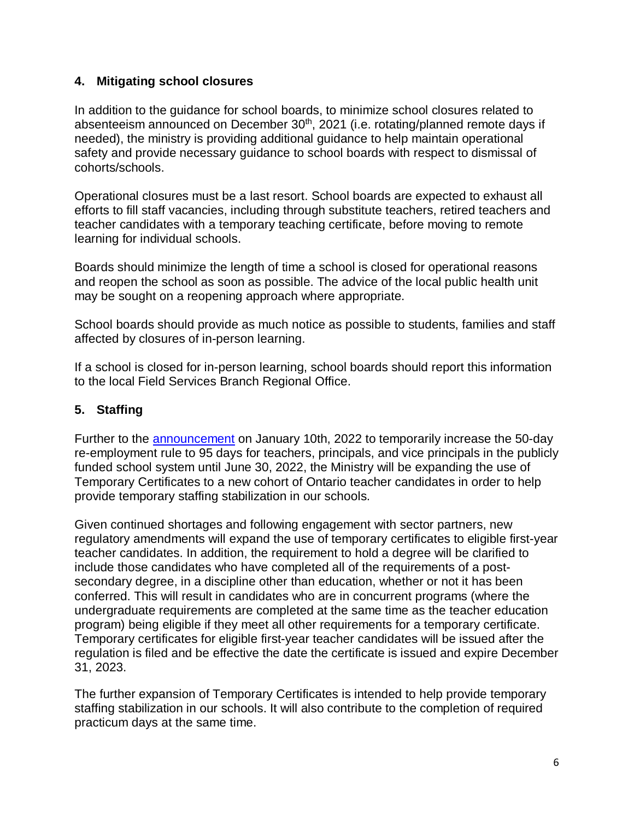#### **4. Mitigating school closures**

In addition to the guidance for school boards, to minimize school closures related to absenteeism announced on December 30<sup>th</sup>, 2021 (i.e. rotating/planned remote days if needed), the ministry is providing additional guidance to help maintain operational safety and provide necessary guidance to school boards with respect to dismissal of cohorts/schools.

Operational closures must be a last resort. School boards are expected to exhaust all efforts to fill staff vacancies, including through substitute teachers, retired teachers and teacher candidates with a temporary teaching certificate, before moving to remote learning for individual schools.

Boards should minimize the length of time a school is closed for operational reasons and reopen the school as soon as possible. The advice of the local public health unit may be sought on a reopening approach where appropriate.

School boards should provide as much notice as possible to students, families and staff affected by closures of in-person learning.

If a school is closed for in-person learning, school boards should report this information to the local Field Services Branch Regional Office.

# **5. Staffing**

Further to the [announcement](https://news.ontario.ca/en/statement/1001408/ontario-takes-action-to-support-staffing-access-in-schools) on January 10th, 2022 to temporarily increase the 50-day re-employment rule to 95 days for teachers, principals, and vice principals in the publicly funded school system until June 30, 2022, the Ministry will be expanding the use of Temporary Certificates to a new cohort of Ontario teacher candidates in order to help provide temporary staffing stabilization in our schools.

Given continued shortages and following engagement with sector partners, new regulatory amendments will expand the use of temporary certificates to eligible first-year teacher candidates. In addition, the requirement to hold a degree will be clarified to include those candidates who have completed all of the requirements of a postsecondary degree, in a discipline other than education, whether or not it has been conferred. This will result in candidates who are in concurrent programs (where the undergraduate requirements are completed at the same time as the teacher education program) being eligible if they meet all other requirements for a temporary certificate. Temporary certificates for eligible first-year teacher candidates will be issued after the regulation is filed and be effective the date the certificate is issued and expire December 31, 2023.

The further expansion of Temporary Certificates is intended to help provide temporary staffing stabilization in our schools. It will also contribute to the completion of required practicum days at the same time.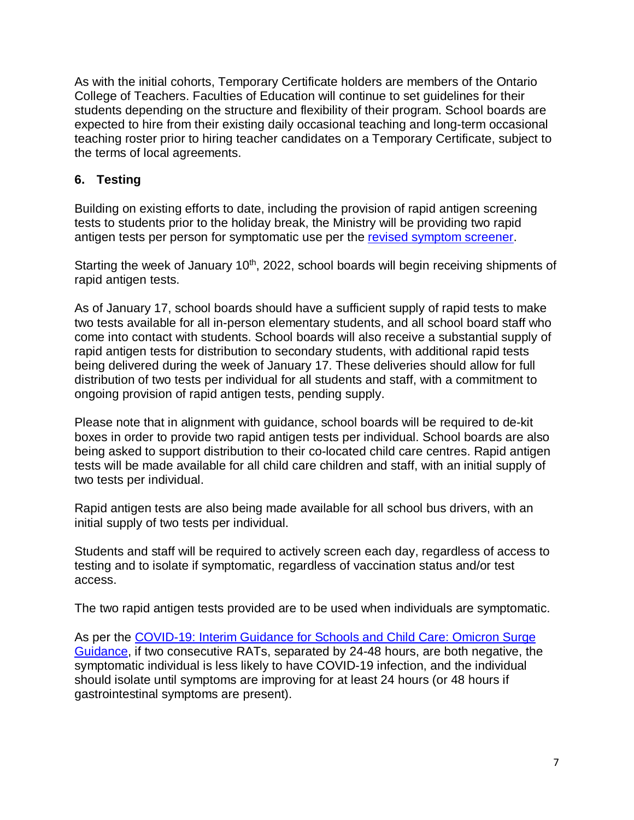As with the initial cohorts, Temporary Certificate holders are members of the Ontario College of Teachers. Faculties of Education will continue to set guidelines for their students depending on the structure and flexibility of their program. School boards are expected to hire from their existing daily occasional teaching and long-term occasional teaching roster prior to hiring teacher candidates on a Temporary Certificate, subject to the terms of local agreements.

## **6. Testing**

Building on existing efforts to date, including the provision of rapid antigen screening tests to students prior to the holiday break, the Ministry will be providing two rapid antigen tests per person for symptomatic use per the [revised symptom screener.](https://covid-19.ontario.ca/school-screening/)

Starting the week of January 10<sup>th</sup>, 2022, school boards will begin receiving shipments of rapid antigen tests.

As of January 17, school boards should have a sufficient supply of rapid tests to make two tests available for all in-person elementary students, and all school board staff who come into contact with students. School boards will also receive a substantial supply of rapid antigen tests for distribution to secondary students, with additional rapid tests being delivered during the week of January 17. These deliveries should allow for full distribution of two tests per individual for all students and staff, with a commitment to ongoing provision of rapid antigen tests, pending supply.

Please note that in alignment with guidance, school boards will be required to de-kit boxes in order to provide two rapid antigen tests per individual. School boards are also being asked to support distribution to their co-located child care centres. Rapid antigen tests will be made available for all child care children and staff, with an initial supply of two tests per individual.

Rapid antigen tests are also being made available for all school bus drivers, with an initial supply of two tests per individual.

Students and staff will be required to actively screen each day, regardless of access to testing and to isolate if symptomatic, regardless of vaccination status and/or test access.

The two rapid antigen tests provided are to be used when individuals are symptomatic.

As per the [COVID-19: Interim Guidance for Schools and Child Care: Omicron Surge](https://www.health.gov.on.ca/en/pro/programs/publichealth/coronavirus/docs/school_childcare_guidance_omicron.pdf)  [Guidance,](https://www.health.gov.on.ca/en/pro/programs/publichealth/coronavirus/docs/school_childcare_guidance_omicron.pdf) if two consecutive RATs, separated by 24-48 hours, are both negative, the symptomatic individual is less likely to have COVID-19 infection, and the individual should isolate until symptoms are improving for at least 24 hours (or 48 hours if gastrointestinal symptoms are present).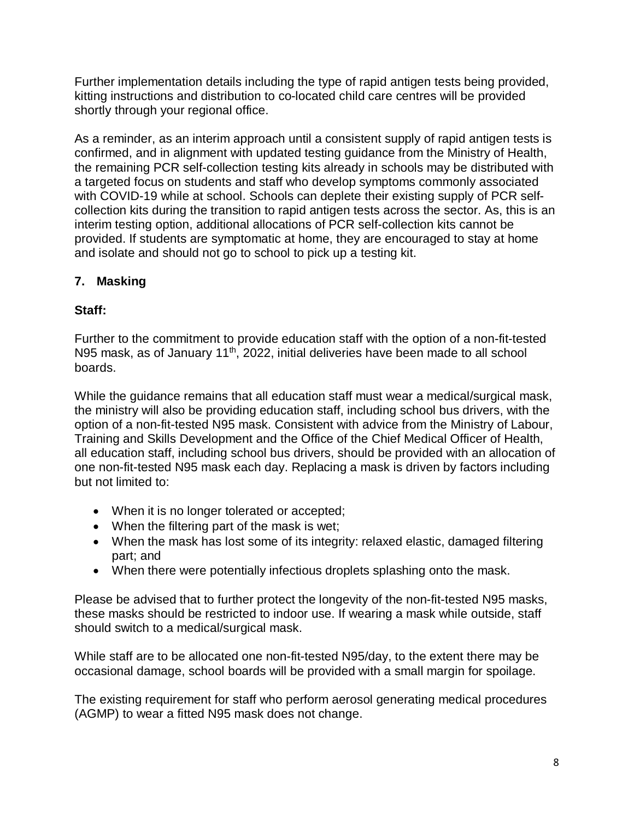Further implementation details including the type of rapid antigen tests being provided, kitting instructions and distribution to co-located child care centres will be provided shortly through your regional office.

As a reminder, as an interim approach until a consistent supply of rapid antigen tests is confirmed, and in alignment with updated testing guidance from the Ministry of Health, the remaining PCR self-collection testing kits already in schools may be distributed with a targeted focus on students and staff who develop symptoms commonly associated with COVID-19 while at school. Schools can deplete their existing supply of PCR selfcollection kits during the transition to rapid antigen tests across the sector. As, this is an interim testing option, additional allocations of PCR self-collection kits cannot be provided. If students are symptomatic at home, they are encouraged to stay at home and isolate and should not go to school to pick up a testing kit.

# **7. Masking**

# **Staff:**

Further to the commitment to provide education staff with the option of a non-fit-tested N95 mask, as of January 11<sup>th</sup>, 2022, initial deliveries have been made to all school boards.

While the guidance remains that all education staff must wear a medical/surgical mask, the ministry will also be providing education staff, including school bus drivers, with the option of a non-fit-tested N95 mask. Consistent with advice from the Ministry of Labour, Training and Skills Development and the Office of the Chief Medical Officer of Health, all education staff, including school bus drivers, should be provided with an allocation of one non-fit-tested N95 mask each day. Replacing a mask is driven by factors including but not limited to:

- When it is no longer tolerated or accepted;
- When the filtering part of the mask is wet;
- When the mask has lost some of its integrity: relaxed elastic, damaged filtering part; and
- When there were potentially infectious droplets splashing onto the mask.

Please be advised that to further protect the longevity of the non-fit-tested N95 masks, these masks should be restricted to indoor use. If wearing a mask while outside, staff should switch to a medical/surgical mask.

While staff are to be allocated one non-fit-tested N95/day, to the extent there may be occasional damage, school boards will be provided with a small margin for spoilage.

The existing requirement for staff who perform aerosol generating medical procedures (AGMP) to wear a fitted N95 mask does not change.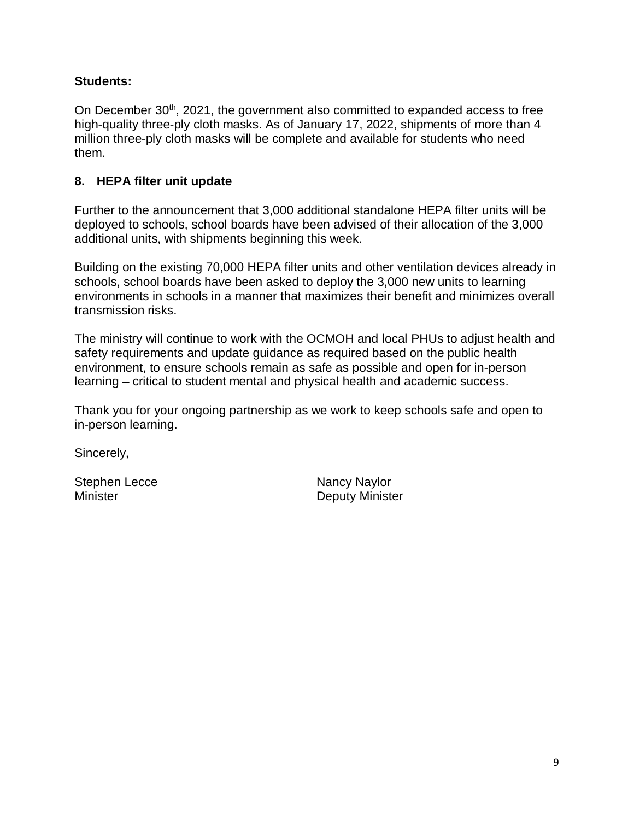## **Students:**

On December 30<sup>th</sup>, 2021, the government also committed to expanded access to free high-quality three-ply cloth masks. As of January 17, 2022, shipments of more than 4 million three-ply cloth masks will be complete and available for students who need them.

#### **8. HEPA filter unit update**

Further to the announcement that 3,000 additional standalone HEPA filter units will be deployed to schools, school boards have been advised of their allocation of the 3,000 additional units, with shipments beginning this week.

Building on the existing 70,000 HEPA filter units and other ventilation devices already in schools, school boards have been asked to deploy the 3,000 new units to learning environments in schools in a manner that maximizes their benefit and minimizes overall transmission risks.

The ministry will continue to work with the OCMOH and local PHUs to adjust health and safety requirements and update guidance as required based on the public health environment, to ensure schools remain as safe as possible and open for in-person learning – critical to student mental and physical health and academic success.

Thank you for your ongoing partnership as we work to keep schools safe and open to in-person learning.

Sincerely,

Stephen Lecce Nancy Naylor

Minister **Deputy Minister**